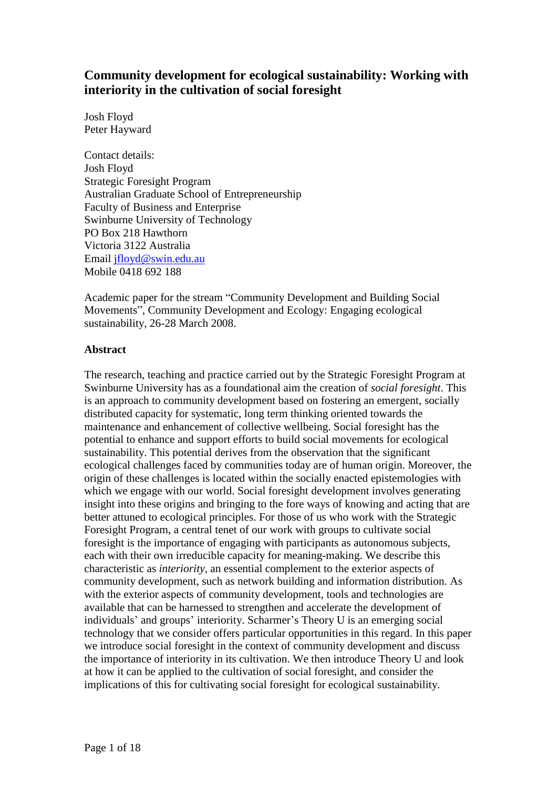# **Community development for ecological sustainability: Working with interiority in the cultivation of social foresight**

Josh Floyd Peter Hayward

Contact details: Josh Floyd Strategic Foresight Program Australian Graduate School of Entrepreneurship Faculty of Business and Enterprise Swinburne University of Technology PO Box 218 Hawthorn Victoria 3122 Australia Email [jfloyd@swin.edu.au](mailto:jfloyd@swin.edu.au) Mobile 0418 692 188

Academic paper for the stream "Community Development and Building Social Movements", Community Development and Ecology: Engaging ecological sustainability, 26-28 March 2008.

## **Abstract**

The research, teaching and practice carried out by the Strategic Foresight Program at Swinburne University has as a foundational aim the creation of *social foresight*. This is an approach to community development based on fostering an emergent, socially distributed capacity for systematic, long term thinking oriented towards the maintenance and enhancement of collective wellbeing. Social foresight has the potential to enhance and support efforts to build social movements for ecological sustainability. This potential derives from the observation that the significant ecological challenges faced by communities today are of human origin. Moreover, the origin of these challenges is located within the socially enacted epistemologies with which we engage with our world. Social foresight development involves generating insight into these origins and bringing to the fore ways of knowing and acting that are better attuned to ecological principles. For those of us who work with the Strategic Foresight Program, a central tenet of our work with groups to cultivate social foresight is the importance of engaging with participants as autonomous subjects, each with their own irreducible capacity for meaning-making. We describe this characteristic as *interiority*, an essential complement to the exterior aspects of community development, such as network building and information distribution. As with the exterior aspects of community development, tools and technologies are<br>available that can be harnessed to strengthen and accelerate the development of<br>individuals' and groups' interiority. Scharmer's Theory U is an available that can be harnessed to strengthen and accelerate the development of technology that we consider offers particular opportunities in this regard. In this paper we introduce social foresight in the context of community development and discuss the importance of interiority in its cultivation. We then introduce Theory U and look at how it can be applied to the cultivation of social foresight, and consider the implications of this for cultivating social foresight for ecological sustainability.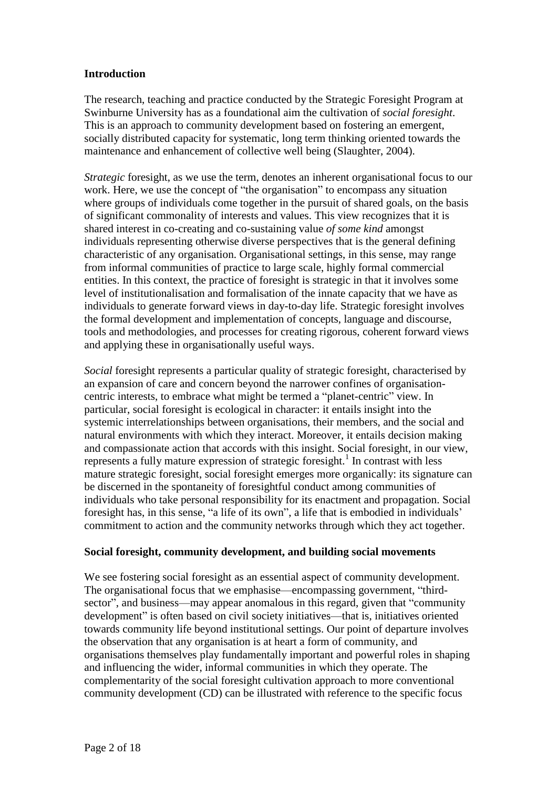### **Introduction**

The research, teaching and practice conducted by the Strategic Foresight Program at Swinburne University has as a foundational aim the cultivation of *social foresight*. This is an approach to community development based on fostering an emergent, socially distributed capacity for systematic, long term thinking oriented towards the maintenance and enhancement of collective well being (Slaughter, 2004).

*Strategic* foresight, as we use the term, denotes an inherent organisational focus to our Strategic foresight, as we use the term, denotes an inherent organisational focus to our work. Here, we use the concept of "the organisation" to encompass any situation where groups of individuals come together in the pursuit of shared goals, on the basis of significant commonality of interests and values. This view recognizes that it is shared interest in co-creating and co-sustaining value *of some kind* amongst individuals representing otherwise diverse perspectives that is the general defining characteristic of any organisation. Organisational settings, in this sense, may range from informalcommunities of practice to large scale, highly formal commercial entities. In this context, the practice of foresight is strategic in that it involves some level of institutionalisation and formalisation of the innate capacity that we have as individuals to generate forward views in day-to-day life. Strategic foresight involves the formal development and implementation of concepts, language and discourse, tools and methodologies, and processes for creating rigorous, coherent forward views and applying these in organisationally useful ways.

Social foresight represents a particular quality of strategic foresight, characterised by an expansion of care and concern beyond the narrower confines of organisation-centric interests, to embrace what might be termed a " an expansion of care and concern beyond the narrower confines of organisation particular, social foresight is ecological in character: it entails insight into the systemic interrelationships between organisations, their members, and the social and natural environments with which they interact. Moreover, it entails decision making and compassionate action that accords with this insight. Social foresight, in our view, represents a fully mature expression of strategic foresight.<sup>1</sup> In contrast with less mature strategic foresight, social foresight emerges more organically: its signature can be discerned in the spontaneity of foresightful conduct among communities of individuals who take personal responsibility for its enactment and propagation. Social be discerned in the spontaneity of foresightful conduct among communities of<br>individuals who take personal responsibility for its enactment and propagation. Social<br>foresight has, in this sense, "a life of its own", a life commitment to action and the community networks through which they act together.

#### **Social foresight, community development, and building social movements**

We see fostering social foresight as an essential aspect of community development. The organisational focus that we emphasise—encompassing government, "thirdsector", and business—may appear anomalous in this regard, given that "community development" is often based on civil society initiatives—that is, initiatives oriented towards community life beyond institutional settings. Our point of departure involves the observation that any organisation is at heart a form of community, and organisations themselves play fundamentally important and powerful roles in shaping and influencing the wider, informal communities in which they operate. The complementarity of the social foresight cultivation approach to more conventional community development (CD) can be illustrated with reference to the specific focus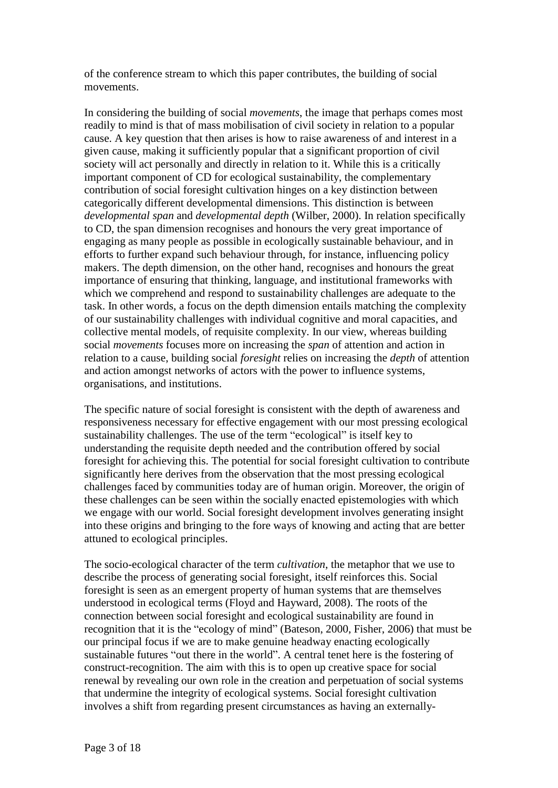of the conference stream to which this paper contributes, the building of social movements.

In considering the building of social *movements*, the image that perhaps comes most readily to mind is that of mass mobilisation of civil society in relation to a popular cause. A key question that then arises is how to raise awareness of and interest in a given cause, making it sufficiently popular that a significant proportion of civil society will act personally and directly in relation to it. While this is a critically important component of CD for ecological sustainability, the complementary contribution of social foresight cultivation hinges on a key distinction between categorically different developmental dimensions. This distinction is between *developmental span* and *developmental depth* (Wilber, 2000). In relation specifically to CD, the span dimension recognises and honours the very great importance of engaging as many people as possible in ecologically sustainable behaviour, and in efforts to further expand such behaviour through, for instance, influencing policy makers. The depth dimension, on the other hand, recognises and honours the great importance of ensuring that thinking, language, and institutional frameworks with which we comprehend and respond to sustainability challenges are adequate to the task. In other words, a focus on the depth dimension entails matching the complexity of our sustainability challenges with individual cognitive and moral capacities, and collective mental models, of requisite complexity. In our view, whereas building social *movements* focuses more on increasing the *span* of attention and action in relation to a cause, building social *foresight* relies on increasing the *depth* of attention and action amongst networks of actors with the power to influence systems, organisations, and institutions.

The specific nature of social foresight is consistent with the depth of awareness and responsiveness necessary for effective engagement with our most pressing ecological The specific nature of social foresight is consistent with the depth of awareness an responsiveness necessary for effective engagement with our most pressing ecological sustainability challenges. The use of the term "ecolo understanding the requisite depth needed and the contribution offered by social foresight for achieving this. The potential for social foresight cultivation to contribute significantly here derives from the observation that the most pressing ecological challenges faced by communities today are of human origin. Moreover, the origin of these challenges can be seen within the socially enacted epistemologies with which we engage with our world. Social foresight development involves generating insight into these origins and bringing to the fore ways of knowing and acting that are better attuned to ecological principles.

The socio-ecological character of the term *cultivation*, the metaphor that we use to describe the process of generating social foresight, itself reinforces this. Social foresight is seen as an emergent property of human systems that are themselves understood in ecological terms (Floyd and Hayward, 2008). The roots of the connection between social foresight and ecological sustainability are found in understood in ecological terms (Floyd and Hayward, 2008). The roots of the<br>connection between social foresight and ecological sustainability are found in<br>recognition that it is the "ecology of mind" (Bateson, 2000, Fisher, our principal focus if we are to make genuine headway enacting ecologically recognition that it is the "ecology of mind" (Bateson, 2000, Fisher, 2006) that must be our principal focus if we are to make genuine headway enacting ecologically sustainable futures "out there in the world". A central te construct-recognition. The aim with this is to open up creative space for social renewal by revealing our own role in the creation and perpetuation of social systems that undermine the integrity of ecological systems. Social foresight cultivation involves a shift from regarding present circumstances as having an externally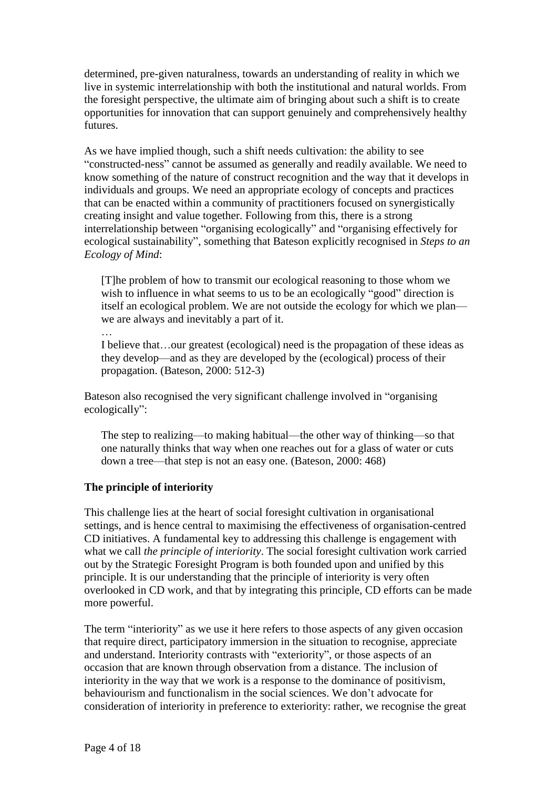determined, pre-given naturalness, towards an understanding of reality in which we live in systemic interrelationship with both the institutional and natural worlds. From the foresight perspective, the ultimate aim of bringing about such a shift is to create opportunities for innovation that can support genuinely and comprehensively healthy futures.

As we have implied though, such a shift needs cultivation: the ability to see "constructed-ness" cannot be assumed as generally and readily available. We need to know something of the nature of construct recognition and the way that it develops in individuals and groups. We need an appropriate ecology of concepts and practices that can be enacted within a community of practitioners focused on synergistically creating insight and value together. Following from this, there is a strong interrelationship between "organising ecologically" and "organising effectively for ecological sustainability", something that Bateson explicitly recognised in *Steps to an Ecology of Mind*:

[T]he problem of how to transmit our ecological reasoning to those whom we wish to influence in what seems to us to be an ecologically "good" direction is [T]he problem of how to transmit our ecological reasoning to those whom we<br>wish to influence in what seems to us to be an ecologically "good" direction is<br>itself an ecological problem. We are not outside the ecology for wh itself an ecological problem. We are not outsi<br>we are always and inevitably a part of it.

I believe that  $\ldots$  is a part of it.<br>I believe that  $\ldots$  our greatest (ecological) need is the propagation of these ideas as they develop—and as they are developed by the (ecological) process of their propagation. (Bateson, 2000: 512-3) propagation. (Bateson, 2000: 512-3)<br>Bateson also recognised the very significant challenge involved in "organising"

Bateson also recognecologically":

ecologically":<br>The step to realizing—to making habitual—the other way of thinking—so that one naturally thinks that way when one reaches out for a glass of water or cuts The step to realizing—to making habitual—the other way of thinking<br>one naturally thinks that way when one reaches out for a glass of wate<br>down a tree—that step is not an easy one. (Bateson, 2000: 468)

# **The principle of interiority**

This challenge lies at the heart of social foresight cultivation in organisational settings, and is hence central to maximising the effectiveness of organisation-centred CD initiatives. A fundamental key to addressing this challenge is engagement with what we call *the principle of interiority*. The social foresight cultivation work carried out by the Strategic Foresight Program is both founded upon and unified by this principle. It is our understanding that the principle of interiority is very often overlooked in CD work, and that by integrating this principle, CD efforts can be made more powerful. more powerful.<br>The term "interiority" as we use it here refers to those aspects of any given occasion

that require direct, participatory immersion in the situation to recognise, appreciate The term "interiority" as we use it here refers to those aspects of any given occasion that require direct, participatory immersion in the situation to recognise, appreciate and understand. Interiority contrasts with "exte occasion that are known through observation from a distance. The inclusion of behaviourism and functionalism in the social sciences. We doní<sup>t</sup> advocate for interiority in the way that we work is a response to the dominance of positivism, consideration of interiority in preference to exteriority: rather, we recognise the great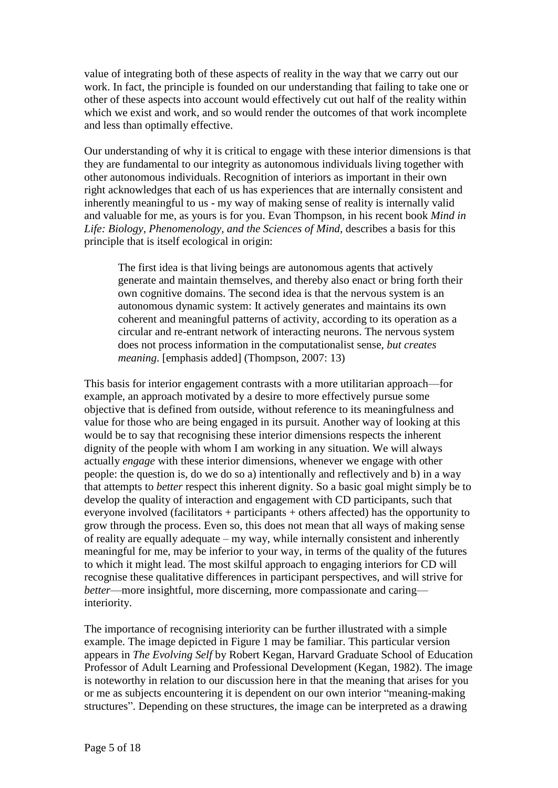value of integrating both of these aspects of reality in the way that we carry out our work. In fact, the principle is founded on our understanding that failing to take one or other of these aspects into account would effectively cut out half of the reality within which we exist and work, and so would render the outcomes of that work incomplete and less than optimally effective.

Our understanding of why it is critical to engage with these interior dimensions is that they are fundamental to our integrity as autonomous individuals living together with other autonomous individuals. Recognition of interiors as important in their own right acknowledges that each of us has experiences that are internally consistent and inherently meaningful to us - my way of making sense of reality is internally valid and valuable for me, as yours is for you. Evan Thompson, in his recent book *Mind in Life: Biology, Phenomenology, and the Sciences of Mind*, describes a basis for this principle that is itself ecological in origin:

The first idea is that living beings are autonomous agents that actively generate and maintain themselves, and thereby also enact or bring forth their own cognitive domains. The second idea is that the nervous system is an autonomous dynamic system: It actively generates and maintains its own coherent and meaningful patterns of activity, according to its operation as a circular and re-entrant network of interacting neurons. The nervous system does not process information in the computationalist sense, *but creates meaning*. [emphasis added] (Thompson, 2007: 13)

This basis for interior engagement contrasts with a more utilitarian approach—for example, an approach motivated by a desire to more effectively pursue some objective that is defined from outside, without reference to its meaningfulness and value for those who are being engaged in its pursuit. Another way of looking at this would be to say that recognising these interior dimensions respects the inherent dignity of the people with whom I am working in any situation. We will always actually *engage* with these interior dimensions, whenever we engage with other people: the question is, do we do so a) intentionally and reflectively and b) in a way that attempts to *better* respect this inherent dignity. So a basic goal might simply be to develop the quality of interaction and engagement with CD participants, such that everyone involved (facilitators + participants + others affected) has the opportunity to grow through the process. Even so, this does not mean that all ways of making sense of reality are equally adequate – my way, while i grow through the process. Even so, this does not mean that all ways of making sense meaningful for me, may be inferior to your way, in terms of the quality of the futures to which it might lead. The most skilful approach to engaging interiors for CD will recognise these qualitative differences in participant perspectives, and will strive for to which it might lead. The most skilful approach to engaging interiors for CD will recognise these qualitative differences in participant perspectives, and will strive for *better*—more insightful, more discerning, more c interiority.

The importance of recognising interiority can be further illustrated with a simple example. The image depicted in Figure 1 may be familiar. This particular version appears in *The Evolving Self* by Robert Kegan, Harvard Graduate School of Education Professor of Adult Learning and Professional Development (Kegan, 1982). The image<br>is noteworthy in relation to our discussion here in that the meaning that arises for you<br>or me as subjects encountering it is dependent on o is noteworthy in relation to our discussion here in that the meaning that arises for you or me as subjects encountering it is dependent on our own interior "meaning-making structures". Depending on these structures, the image can be interpreted as a drawing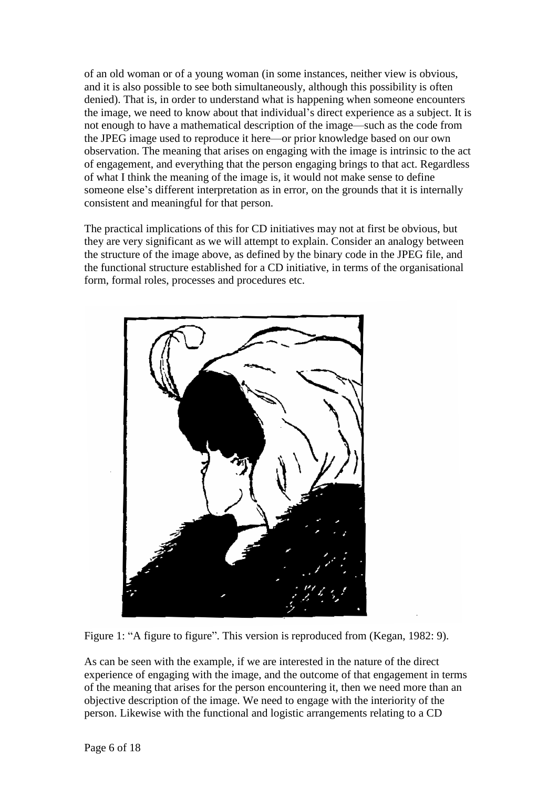of an old woman or of a young woman (in some instances, neither view is obvious, and it is also possible to see both simultaneously, although this possibility is often denied). That is, in order to understand what is happening when someone encounters and it is also possible to see both simultaneously, although this possibility is often<br>denied). That is, in order to understand what is happening when someone encounters<br>the image, we need to know about that individual's d denied). That is, in order to understand what is happening when someone encounters<br>the image, we need to know about that individual's direct experience as a subject. It is<br>not enough to have a mathematical description of t the image, we need to know about that individual's direct experience as a subject. It is<br>not enough to have a mathematical description of the image—such as the code from<br>the JPEG image used to reproduce it here—or prior kn observation. The meaning that arises on engaging with the image is intrinsic to the act of engagement, and everything that the person engaging brings to that act. Regardless<br>of what I think the meaning of the image is, it would not make sense to define<br>someone else's different interpretation as in error, on t of what I think the meaning of the image is, it would not make sense to define consistent and meaningful for that person.

The practical implications of this for CD initiatives may not at first be obvious, but they are very significant as we will attempt to explain. Consider an analogy between the structure of the image above, as defined by the binary code in the JPEG file, and the functional structure established for a CD initiative, in terms of the organisational form, formal roles, processes and procedures etc.



Figure 1: "A figure to figure". This version is reproduced from (Kegan, 1982: 9).

As can be seen with the example, if we are interested in the nature of the direct experience of engaging with the image, and the outcome of that engagement in terms of the meaning that arises for the person encountering it, then we need more than an objective description of the image. We need to engage with the interiority of the person. Likewise with the functional and logistic arrangements relating to a CD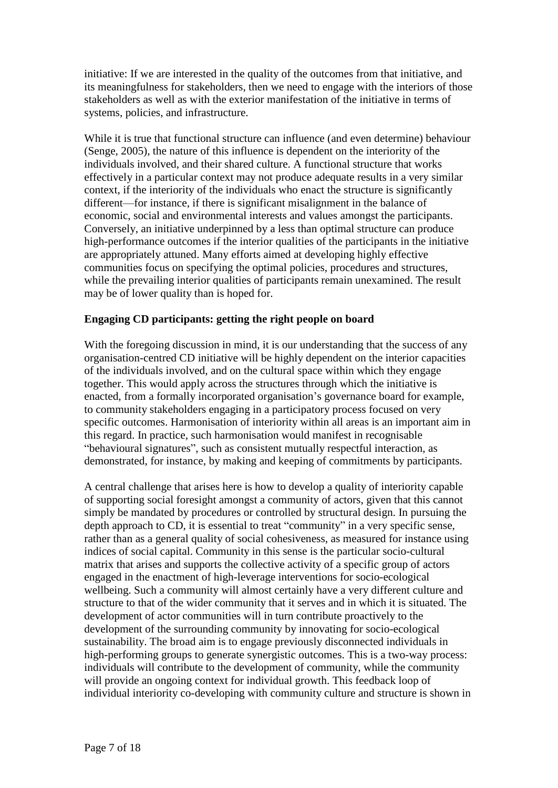initiative: If we are interested in the quality of the outcomes from that initiative, and its meaningfulness for stakeholders, then we need to engage with the interiors of those stakeholders as well as with the exterior manifestation of the initiative in terms of systems, policies, and infrastructure.

While it is true that functional structure can influence (and even determine) behaviour (Senge, 2005), the nature of this influence is dependent on the interiority of the individuals involved, and their shared culture. A functional structure that works effectively in a particular context may not produce adequate results in a very similar context, if the interiority of the individuals who enact the structure is significantly different—for instance, if there is significant context, if the interiority of the individuals who enact the structure is significantly economic, social and environmental interests and values amongst the participants. Conversely, an initiative underpinned by a less than optimal structure can produce high-performance outcomes if the interior qualities of the participants in the initiative are appropriately attuned. Many efforts aimed at developing highly effective communities focus on specifying the optimal policies, procedures and structures, while the prevailing interior qualities of participants remain unexamined. The result may be of lower quality than is hoped for.

# **Engaging CD participants: getting the right people on board**

With the foregoing discussion in mind, it is our understanding that the success of any organisation-centred CD initiative will be highly dependent on the interior capacities of the individuals involved, and on the cultural space within which they engage together. This would apply across the structures through which the initiative is enacted, from a formally incorporated organisation's governance board for example, to community stakeholders engaging in a participatory process focused on very specific outcomes. Harmonisation of interiority within all areas is an important aim in<br>this regard. In practice, such harmonisation would manifest in recognisable<br>"behavioural signatures", such as consistent mutually resp this regard. In practice, such harmonisation would manifest in recognisable demonstrated, for instance, by making and keeping of commitments by participants.

A central challenge that arises here is how to develop a quality of interiority capable of supporting social foresight amongst a community of actors, given that this cannot simply be mandated by procedures or controlled by structural design. In pursuing the depth approach to CD, it is essential to treat "community" in a very specific sense, rather than as a general quality of social cohesiveness, as measured for instance using indices of social capital. Community in this sense is the particular socio-cultural matrix that arises and supports the collective activity of a specific group of actors engaged in the enactment of high-leverage interventions for socio-ecological wellbeing. Such a community will almost certainly have a very different culture and structure to that of the wider community that it serves and in which it is situated. The development of actor communities will in turn contribute proactively to the development of the surrounding community by innovating for socio-ecological sustainability. The broad aim is to engage previously disconnected individuals in high-performing groups to generate synergistic outcomes. This is a two-way process: individuals will contribute to the development of community, while the community will provide an ongoing context for individual growth. This feedback loop of individual interiority co-developing with community culture and structure is shown in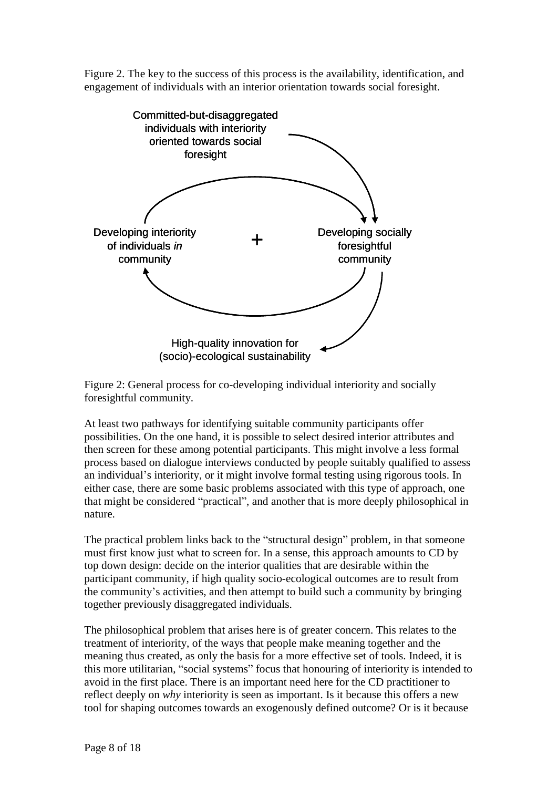Figure 2. The key to the success of this process is the availability, identification, and engagement of individuals with an interior orientation towards social foresight.



Figure 2: General process for co-developing individual interiority and socially foresightful community.

At least two pathways for identifying suitable community participants offer possibilities. On the one hand, it is possible to select desired interior attributes and then screen for these among potential participants. This might involve a less formal process based on dialogue interviews conducted by people suitably qualified to assess then screen for these among potential participants. This might involve a less formal<br>process based on dialogue interviews conducted by people suitably qualified to assess<br>an individual's interiority, or it might involve fo either case, there are some basic problems associated with this type of approach, one an individual's interiority, or it might involve formal testing using rigorous tools. In either case, there are some basic problems associated with this type of approach, one that might be considered "practical", and anoth nature.

The practical problem links back to the "structural design" problem, in that someone must first know just what to screen for. In a sense, this approach amounts to CD by top down design: decide on the interior qualities that are desirable within the participant community, if high quality socio-ecological outcomes are to result from the community's activities, and then attempt to build such a community by bringing together previously disaggregated individuals.

The philosophical problem that arises here is of greater concern. This relates to the treatment of interiority, of the ways that people make meaning together and the meaning thus created, as only the basis for a more effective set of tools. Indeed, it is this more utilitarian, "social systems" focus that honouring of interiority is intended to avoid in the first place. There is an important need here for the CD practitioner to reflect deeply on *why* interiority is seen as important. Is it because this offers a new tool for shaping outcomes towards an exogenously defined outcome? Or is itbecause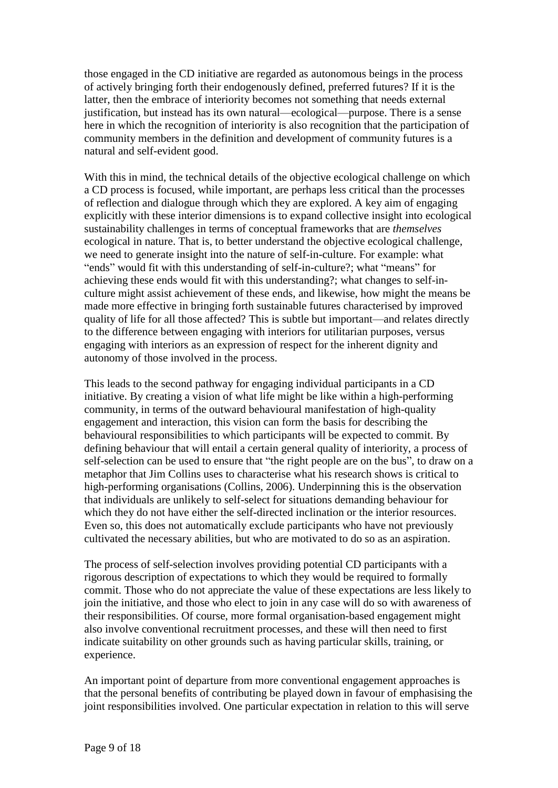those engaged in the CD initiative are regarded as autonomous beings in the process of actively bringing forth their endogenously defined, preferred futures? If it is the latter, then the embrace of interiority becomes not something that needs external justification, but instead has its own natural—ecological—purpose. There is a sense here in which the recognition of interiority is also recognition that the participation of community members in the definition and development of community futures is a natural and self-evident good.

With this in mind, the technical details of the objective ecological challenge on which a CD process is focused, while important, are perhaps less critical than the processes of reflection and dialogue through which they are explored. A key aim of engaging explicitly with these interior dimensions is to expand collective insight into ecological sustainability challenges in terms of conceptual frameworks that are *themselves* ecological in nature. That is, to better understand the objective ecological challenge,<br>we need to generate insight into the nature of self-in-culture. For example: what<br>"ends" would fit with this understanding of self-inachieving these ends would fit with this understanding?; what changes to self-in culture might assist achievement of these ends, and likewise, how might the means be made more effective in bringing forth sustainable futures characterised by improved quality of life for all those affected? This is subtle but important—and relates directly to the difference between engaging with interiors for utilitarian purposes, versus engaging with interiors as an expression of respect for the inherent dignity and autonomy of those involved in the process.

This leads to the second pathway for engaging individual participants in a CD initiative. By creating a vision of what life might be like within a high-performing community, in terms of the outward behavioural manifestation of high-quality engagement and interaction, this vision can form the basis for describing the behavioural responsibilities to which participants will be expected to commit. By defining behaviour that will entail a certain general quality of interiority, a process of self-selection can be used to ensure that "the right people are on the bus", to draw on a metaphor that Jim Collins uses to characterise what his research shows is critical to high-performing organisations (Collins, 2006). Underpinning this is the observation that individuals are unlikely to self-select for situations demanding behaviour for which they do not have either the self-directed inclination or the interior resources. Even so, this does not automatically exclude participants who have not previously cultivated the necessary abilities, but who are motivated to do so as an aspiration.

The process of self-selection involves providing potential CD participants with a rigorous description of expectations to which they would be required to formally commit. Those who do not appreciate the value of these expectations are less likely to join the initiative, and those who elect to join in any case will do so with awareness of their responsibilities. Of course, more formal organisation-based engagement might also involve conventional recruitment processes, and these will then need to first indicate suitability on other grounds such as having particular skills, training, or experience.

An important point of departure from more conventional engagement approaches is that the personal benefits of contributing be played down in favour of emphasising the joint responsibilities involved. One particular expectation in relation to this will serve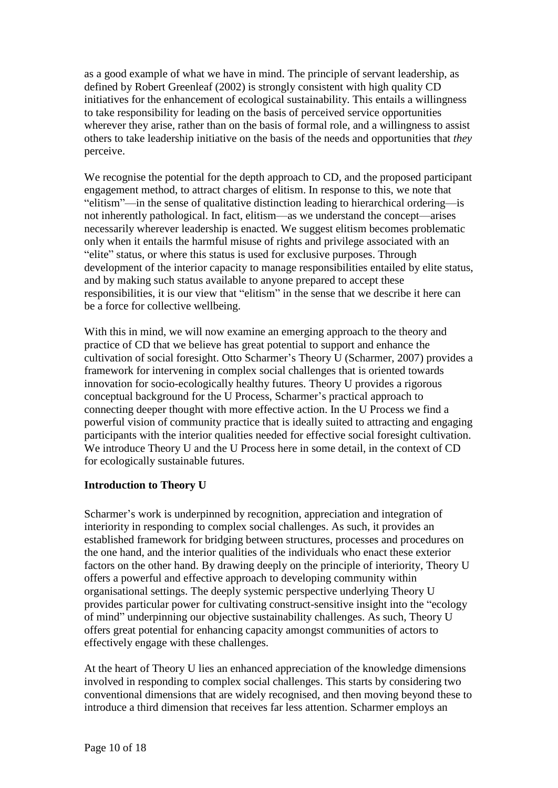as a good example of what we have in mind. The principle of servant leadership, as defined by Robert Greenleaf (2002) is strongly consistent with high quality CD initiatives for the enhancement of ecological sustainability. This entails a willingness to take responsibility for leading on the basis of perceived service opportunities wherever they arise, rather than on the basis of formal role, and a willingness to assist others to take leadership initiative on the basis of the needs and opportunities that *they* perceive.

We recognise the potential for the depth approach to CD, and the proposed participant<br>engagement method, to attract charges of elitism. In response to this, we note that<br>"elitism"—in the sense of qualitative distinction le engagement method, to attract charges of elitism. In response to this, we note that "elitism"—in the sense of qualitative distinction leading to hierarchical ordering—is not inherently pathological. In fact, elitism—as we necessarily wherever leadership is enacted. We suggest elitism becomes problematic ìonly when it entails the harmful misuse of rights and privilege associated with an ecessarily wherever leadership is enacted. We suggest elitism becomes problemate in the status is used for exclusive purposes. Through elite" status, or where this status is used for exclusive purposes. Through development of the interior capacity to manage responsibilities entailed by elite status, and by making such status available to anyone prepared to accept these responsibilities, it is our view that "elitism" in the sense that we describe it here can be a force for collective wellbeing.

With this in mind, we will now examine an emerging approach to the theory and practice of CD that we believe has great potential to support and enhance the cultivation of social foresight. Otto Scharmer's Theory U (Scharmer, 2007) provides a framework for intervening in complex social challenges that is oriented towards innovation for socio-ecologically healthy futures. Theory U provides a rigorous framework for intervening in complex social challenges that is oriented towards<br>innovation for socio-ecologically healthy futures. Theory U provides a rigorous<br>conceptual background for the U Process, Scharmer's practical connecting deeper thought with more effective action. In the U Process we find a powerful vision of community practice that is ideally suited to attracting and engaging participants with the interior qualities needed for effective social foresight cultivation. We introduce Theory U and the U Process here in some detail, in the context of CD for ecologically sustainable futures.

# **Introduction to Theory U**

Scharmer's work is underpinned by recognition, appreciation and integration of interiority in responding to complex social challenges. As such, it provides an established framework for bridging between structures, processes and procedures on the one hand, and the interior qualities of the individuals who enact these exterior factors on the other hand. By drawing deeply on the principle of interiority, Theory U offers a powerful and effective approach to developing community within organisational settings. The deeply systemic perspective underlying Theory U offers a powerful and effective approach to developing community within<br>organisational settings. The deeply systemic perspective underlying Theory U<br>provides particular power for cultivating construct-sensitive insight int organisational settings. The deeply systemic perspective underlying Theory U<br>provides particular power for cultivating construct-sensitive insight into the "ecology<br>of mind" underpinning our objective sustainability challe offers great potential for enhancing capacity amongst communities of actors to effectively engage with these challenges.

At the heart of Theory U lies an enhanced appreciation of the knowledge dimensions involved in responding to complex social challenges. This starts by considering two conventional dimensions that are widely recognised, and then moving beyond these to introduce a third dimension that receives far less attention. Scharmer employs an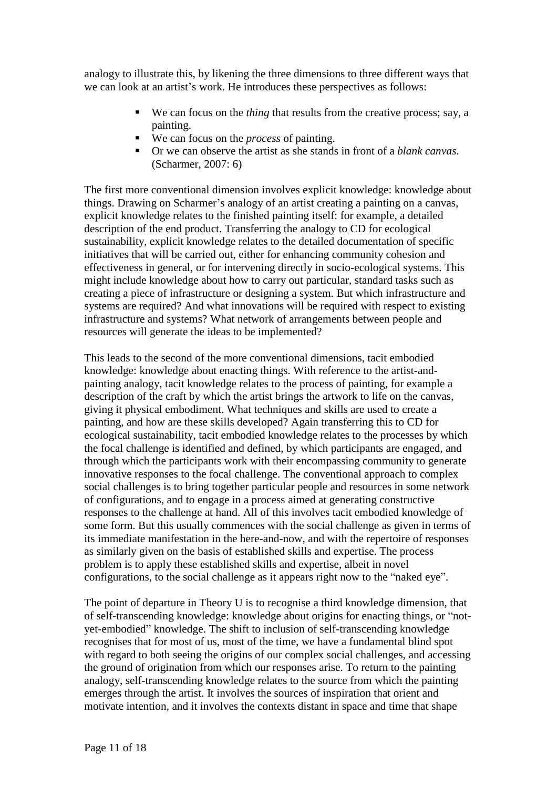analogy to illustrate this, by likening the three dimensions to three different ways that analogy to illustrate this, by likening the three dimensions to three different ways<br>we can look at an artist's work. He introduces these perspectives as follows:

- We can focus on the *thing* that results from the creative process; say, a painting.
- We can focus on the *process* of painting.
- Or we can observe the artist as she stands in front of a *blank canvas*. (Scharmer, 2007: 6)

The first more conventional dimension involves explicit knowledge: knowledge about things. Drawing on Scharmer's analogy of an artist creating a painting on a canvas, explicit knowledge relates to the finished painting itself: for example, a detailed description of the end product. Transferring the analogy to CD for ecological sustainability, explicit knowledge relates to the detailed documentation of specific initiatives that will be carried out, either for enhancing community cohesion and effectiveness in general, or for intervening directly in socio-ecological systems. This might include knowledge about how to carry out particular, standard tasks such as creating a piece of infrastructure or designing a system. But which infrastructure and systems are required? And what innovations will be required with respect to existing infrastructure and systems? What network of arrangements between people and resources will generate the ideas to be implemented?

This leads to the second of the more conventional dimensions, tacit embodied knowledge: knowledge about enacting things. With reference to the artist-and painting analogy, tacit knowledge relates to the process of painting, for example a description of the craft by which the artist brings the artwork to life on the canvas, giving it physical embodiment. What techniques and skills are used to create a painting, and how are these skills developed? Again transferring this to CD for ecological sustainability, tacit embodied knowledge relates to the processes by which the focal challenge is identified and defined, by which participants are engaged, and through which the participants work with their encompassing community to generate innovative responses to the focal challenge. The conventional approach to complex social challenges is to bring together particular people and resources in some network of configurations, and to engage in a process aimed at generating constructive responses to the challenge at hand. All of this involves tacit embodied knowledge of some form. But this usually commences with the social challenge as given in terms of its immediate manifestation in the here-and-now, and with the repertoire of responses as similarly given on the basis of established skills and expertise. The process problem is to apply these established skills and expertise, albeit in novel configurations, to the social challenge as it appears right now to the "naked eye".

The point of departure in Theory U is to recognise a third knowledge dimension, that The point of departure in Theory U is to recognise a third knowledge dimension, that<br>of self-transcending knowledge: knowledge about origins for enacting things, or "not-The point of departure in Theory U is to recognise a third knowledge dimension, that<br>of self-transcending knowledge: knowledge about origins for enacting things, or "not-<br>yet-embodied" knowledge. The shift to inclusion of recognises that for most of us, most of the time, we have a fundamental blind spot with regard to both seeing the origins of our complex social challenges, and accessing the ground of origination from which our responses arise. To return to the painting analogy, self-transcending knowledge relates to the source from which the painting emerges through the artist. It involves the sources of inspiration that orient and motivate intention, and it involves the contexts distant in space and time that shape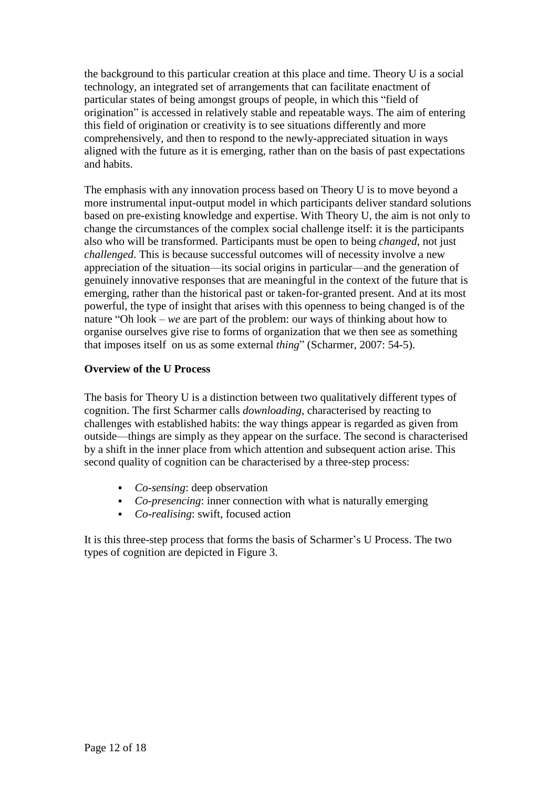the background to this particular creation at this place and time. Theory U is a social<br>technology, an integrated set of arrangements that can facilitate enactment of<br>particular states of being amongst groups of people, in technology, an integrated set of arrangements that can facilitate enactment of origination" is accessed in relatively stable and repeatable ways. The aim of entering this field of origination or creativity is to see situations differently and more comprehensively, and then to respond to the newly-appreciated situation in ways aligned with the future as it is emerging, rather than on the basis of past expectations and habits.

The emphasis with any innovation process based on Theory U is to move beyond a more instrumental input-output model in which participants deliver standard solutions based on pre-existing knowledge and expertise. With Theory U, the aim is not only to change the circumstances of the complex social challenge itself: it is the participants also who will be transformed. Participants must be open to being *changed*, not just *challenged*. This is because successful outcomes will of necessity involve a new appreciation of the situation—its social origins in par *challenged*. This is because successful outcomes will of necessity involve a new genuinely innovative responses that are meaningful in the context of the future that is emerging, rather than the historical past or taken-for-granted present. And at its most powerful, the type of insight that arises with this openness to being changed is of the emerging, rather than the historical past or taken-for-granted present. And at its most<br>powerful, the type of insight that arises with this openness to being changed is of the<br>nature "Oh look – *we* are part of the problem organise ourselves give rise to forms of organization that we then see as something nature "Oh look – we are part of the problem: our ways of thinking about how to organise ourselves give rise to forms of organization that we then see as something that imposes itself on us as some external *thing*" (Schar

## **Overview of the U Process**

The basis for Theory U is a distinction between two qualitatively different types of cognition. The first Scharmer calls *downloading*, characterised by reacting to challenges with established habits: the way things appear is regarded as given from cognition. The first Scharmer calls *downloading*, characterised by reacting to<br>challenges with established habits: the way things appear is regarded as given from<br>outside—things are simply as they appear on the surface. T by a shift in the inner place from which attention and subsequent action arise. This second quality of cognition can be characterised by a three-step process:

- *Co-sensing*: deep observation
- *Co-presencing*: inner connection with what is naturally emerging
- *Co-realising*: swift, focused action

It is this three-step process that forms the basis of Scharmer's U Process. The two types of cognition are depicted in Figure 3.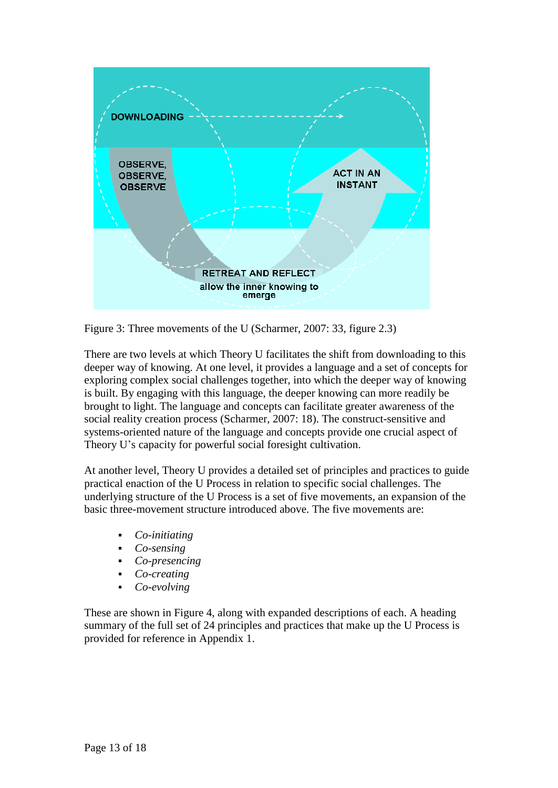

Figure 3: Three movements of the U (Scharmer, 2007: 33, figure 2.3)

There are two levels at which Theory U facilitates the shift from downloading to this deeper way of knowing. At one level, it provides a language and a set of concepts for exploring complex social challenges together, into which the deeper way of knowing is built. By engaging with this language, the deeper knowing can more readily be brought to light. The language and concepts can facilitate greater awareness of the social reality creation process (Scharmer, 2007: 18). The construct-sensitive and systems-oriented nature of the language and concepts provide one crucial aspect of Theory U's capacity for powerful social foresight cultiva systems-oriented nature of the language and concepts provide one crucial aspect of

At another level, Theory U provides a detailed set of principles and practices to guide practical enaction of the U Process in relation to specific social challenges. The underlying structure of the U Process is a set of five movements, an expansion of the basic three-movement structure introduced above. The five movements are:

- *Co-initiating*
- *Co-sensing*
- *Co-presencing*
- *Co-creating*
- *Co-evolving*

These are shown in Figure 4, along with expanded descriptions of each. A heading summary of the full set of 24 principles and practices that make up the U Process is provided for reference in Appendix 1.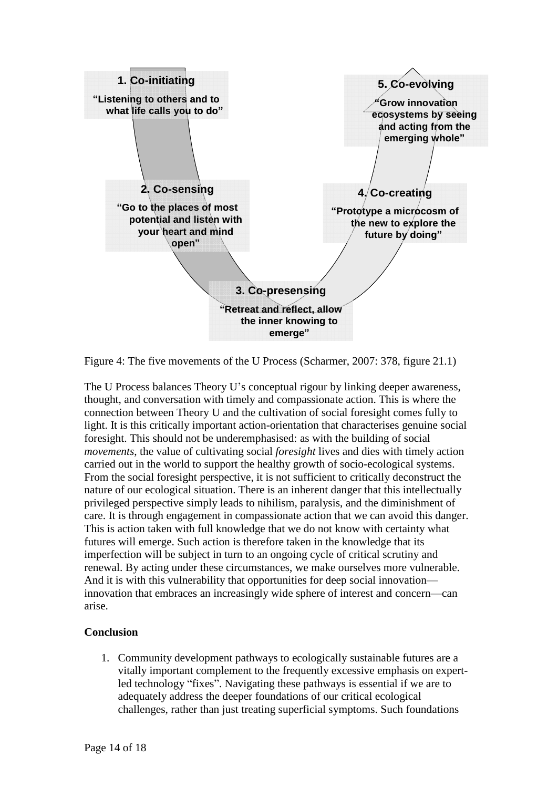

Figure 4: The five movements of the U Process (Scharmer, 2007: 378, figure 21.1)

The U Process balances Theory U's conceptual rigour by linking deeper awareness, thought, and conversation with timely and compassionate action. This is where the connection between Theory U and the cultivation of social foresight comes fully to light. It is this critically important action-orientation that characterises genuine social foresight. This should not be underemphasised: as with the building of social *movements*, the value of cultivating social *foresight* lives and dies with timely action carried out in the world to support the healthy growth of socio-ecological systems. From the social foresight perspective, it is not sufficient to critically deconstruct the nature of our ecological situation. There is an inherent danger that this intellectually privileged perspective simply leads to nihilism, paralysis, and the diminishment of care. It is through engagement in compassionate action that we can avoid this danger. This is action taken with full knowledge that we do not know with certainty what futures will emerge. Such action is therefore taken in the knowledge that its imperfection will be subject in turn to an ongoing cycle of critical scrutiny and renewal. By acting under these circumstances, we make ourselves more vulnerable. imperfection will be subject in turn to an ongoing cycle of critical scrutiny and<br>renewal. By acting under these circumstances, we make ourselves more vulnerable.<br>And it is with this vulnerability that opportunities for de renewal. By acting under these circumstances, we make ourselves more vulnerable.<br>And it is with this vulnerability that opportunities for deep social innovation—<br>innovation that embraces an increasingly wide sphere of inte arise.

# **Conclusion**

1. Community development pathways to ecologically sustainable futures are a vitally important complement to the frequently excessive emphasis on expert-Community development pathways to ecologically sustainable futures are a<br>vitally important complement to the frequently excessive emphasis on expert-<br>led technology "fixes". Navigating these pathways is essential if we are adequately address the deeper foundations of our critical ecological challenges, rather than just treating superficial symptoms. Such foundations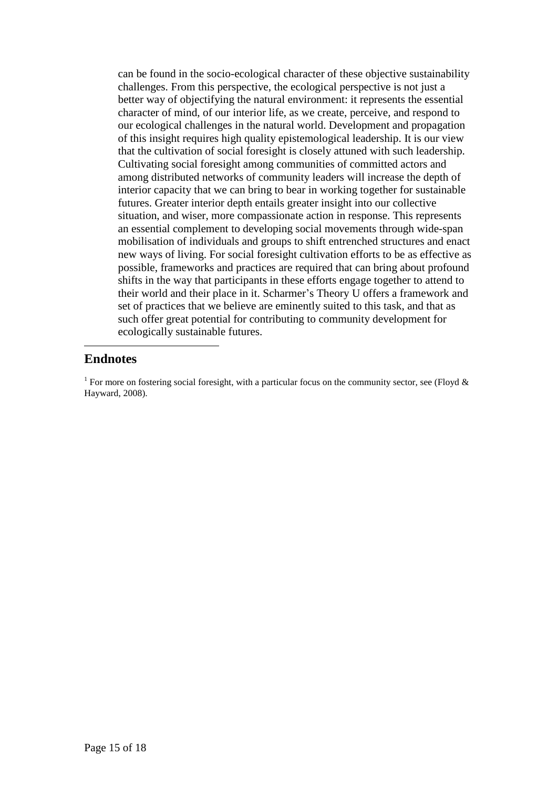can be found in the socio-ecological character of these objective sustainability challenges. From this perspective, the ecological perspective is not just a better way of objectifying the natural environment: it represents the essential character of mind, of our interior life, as we create, perceive, and respond to our ecological challenges in the natural world. Development and propagation of this insight requires high quality epistemological leadership. It is our view that the cultivation of social foresight is closely attuned with such leadership. Cultivating social foresight among communities of committed actors and among distributed networks of community leaders will increase the depth of interior capacity that we can bring to bear in working together for sustainable futures. Greater interior depth entails greater insight into our collective situation, and wiser, more compassionate action in response. This represents an essential complement to developing social movements through wide-span mobilisation of individuals and groups to shift entrenched structures and enact new ways of living. For social foresight cultivation efforts to be as effective as possible, frameworks and practices are required that can bring about profound shifts in the way that participants in these efforts engage together to attend to their world and their place in it. Scharmer's Theory U offers shifts in the way that participants in these efforts engage together to attend to set of practices that we believe are eminently suited to this task, and that as such offer great potential for contributing to community development for ecologically sustainable futures.

# **Endnotes**

<sup>1</sup> For more on fostering social foresight, with a particular focus on the community sector, see (Floyd  $\&$ Hayward, 2008).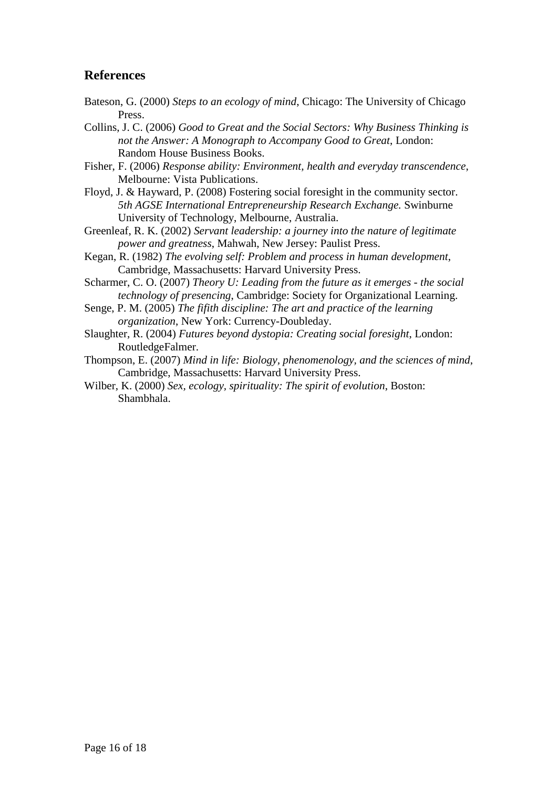# **References**

- Bateson, G. (2000) *Steps to an ecology of mind*, Chicago: The University of Chicago Press.
- Collins, J. C. (2006) *Good to Great and the Social Sectors: Why Business Thinking is not the Answer: A Monograph to Accompany Good to Great*, London: Random House Business Books.
- Fisher, F. (2006) *Response ability: Environment, health and everyday transcendence*, Melbourne: Vista Publications.
- Floyd, J. & Hayward, P. (2008) Fostering social foresight in the community sector. *5th AGSE International Entrepreneurship Research Exchange.* Swinburne University of Technology, Melbourne, Australia.
- Greenleaf, R. K. (2002) *Servant leadership: a journey into the nature of legitimate power and greatness*, Mahwah, New Jersey: Paulist Press.
- Kegan, R. (1982) *The evolving self: Problem and process in human development*, Cambridge, Massachusetts: Harvard University Press.
- Scharmer, C. O. (2007) *Theory U: Leading from the future as itemerges - the social technology of presencing*, Cambridge: Society for Organizational Learning.
- Senge, P. M. (2005) *The fifith discipline: The art and practice of the learning organization*, New York: Currency-Doubleday.
- Slaughter, R. (2004) *Futures beyond dystopia: Creating social foresight*, London: RoutledgeFalmer.
- Thompson, E. (2007) *Mind in life: Biology, phenomenology, and the sciences of mind*, Cambridge, Massachusetts: Harvard University Press.
- Wilber, K. (2000) *Sex, ecology, spirituality: The spirit of evolution*, Boston: Shambhala.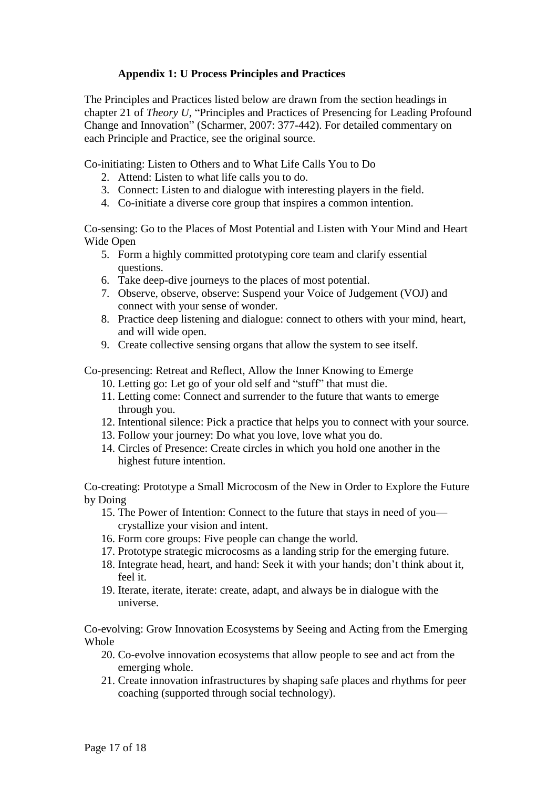# **Appendix 1: U Process Principles and Practices**

The Principles and Practices listed below are drawn from the section headings in The Principles and Practices listed below are drawn from the section headings in<br>
chapter 21 of *Theory U*, "Principles and Practices of Presencing for Leading Profound The Principles and Practices listed below are drawn from the section headings in chapter 21 of *Theory U*, "Principles and Practices of Presencing for Leading Profound Change and Innovation" (Scharmer, 2007: 377-442). For each Principle and Practice, see the original source.

Co-initiating: Listen to Others and to What Life Calls You to Do

- 2. Attend: Listen to what life calls you to do.
- 3. Connect: Listen to and dialogue with interesting players in the field.
- 4. Co-initiate a diverse core group that inspires a common intention.

Co-sensing: Go to the Places of Most Potential and Listen with Your Mind and Heart Wide Open

- 5. Form a highly committed prototyping core team and clarify essential questions.
- 6. Take deep-dive journeys to the places of most potential.
- 7. Observe, observe, observe: Suspend your Voice of Judgement (VOJ) and connect with your sense of wonder.
- 8. Practice deep listening and dialogue: connect to others with your mind, heart, and will wide open.
- 9. Create collective sensing organs that allow the system to see itself.

Co-presencing: Retreat and Reflect, Allow the Inner Knowing to Emerge

- 10. Letting go: Let go of your old self and "stuff" that must die.
- 11. Letting come: Connect and surrender to the future that wants to emerge through you.
- 12. Intentional silence: Pick a practice that helps you to connect with your source.
- 13. Follow your journey: Do what you love, love what you do.
- 14. Circles of Presence: Create circles in which you hold one another in the highest future intention.

Co-creating: Prototype a Small Microcosm of the New in Order to Explore the Future<br>by Doing<br>15. The Power of Intention: Connect to the future that stays in need of you by Doing

- crystallize your vision and intent.
- 16. Form core groups: Five people can change the world.
- 17. Prototype strategic microcosms as a landing strip for the emerging future.
- 18. Integrate head, heart, and hand: Seek it with your hands; don't think about it, feel it.
- 19. Iterate, iterate, iterate: create, adapt, and always be in dialogue with the universe.

Co-evolving: Grow Innovation Ecosystems by Seeing and Acting from the Emerging Whole

- 20. Co-evolve innovation ecosystems that allow people to see and act from the emerging whole.
- 21. Create innovation infrastructures by shaping safe places and rhythms for peer coaching (supported through social technology).